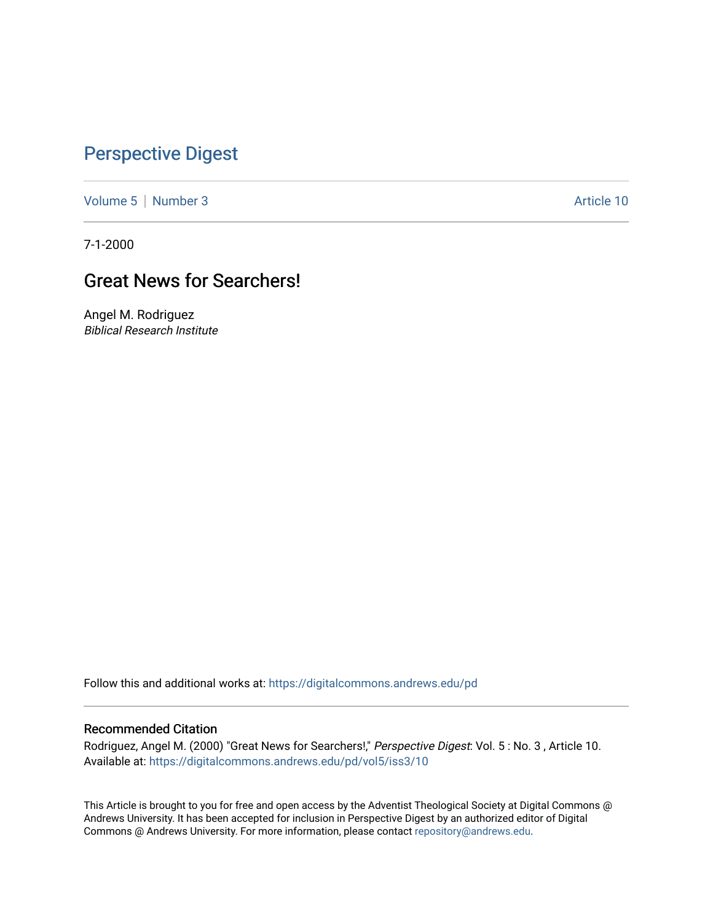## [Perspective Digest](https://digitalcommons.andrews.edu/pd)

[Volume 5](https://digitalcommons.andrews.edu/pd/vol5) | [Number 3](https://digitalcommons.andrews.edu/pd/vol5/iss3) Article 10

7-1-2000

# Great News for Searchers!

Angel M. Rodriguez Biblical Research Institute

Follow this and additional works at: [https://digitalcommons.andrews.edu/pd](https://digitalcommons.andrews.edu/pd?utm_source=digitalcommons.andrews.edu%2Fpd%2Fvol5%2Fiss3%2F10&utm_medium=PDF&utm_campaign=PDFCoverPages)

#### Recommended Citation

Rodriguez, Angel M. (2000) "Great News for Searchers!," Perspective Digest: Vol. 5 : No. 3 , Article 10. Available at: [https://digitalcommons.andrews.edu/pd/vol5/iss3/10](https://digitalcommons.andrews.edu/pd/vol5/iss3/10?utm_source=digitalcommons.andrews.edu%2Fpd%2Fvol5%2Fiss3%2F10&utm_medium=PDF&utm_campaign=PDFCoverPages)

This Article is brought to you for free and open access by the Adventist Theological Society at Digital Commons @ Andrews University. It has been accepted for inclusion in Perspective Digest by an authorized editor of Digital Commons @ Andrews University. For more information, please contact [repository@andrews.edu.](mailto:repository@andrews.edu)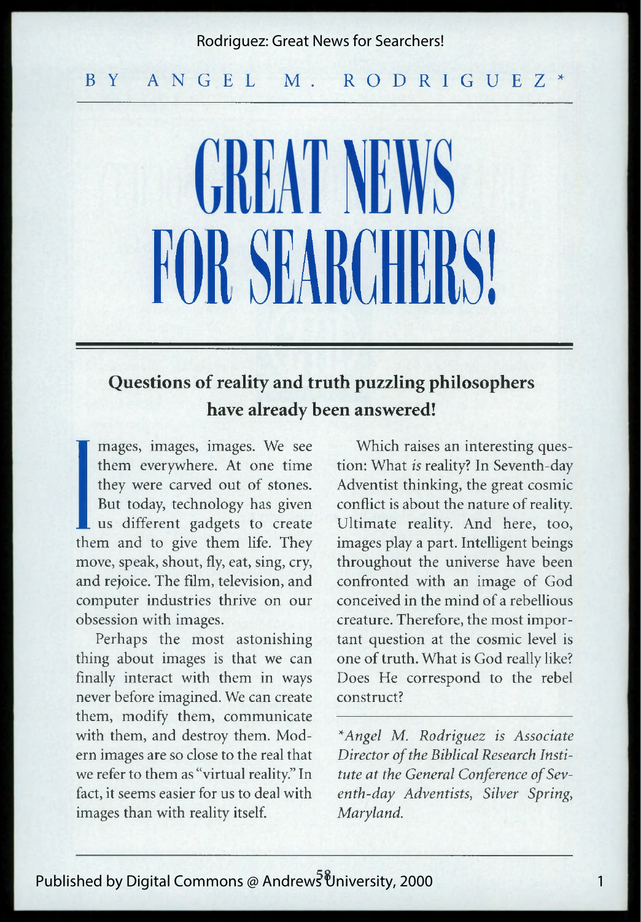#### Rodriguez: Great News for Searchers!

#### BY A N G E L M. R O D R I G U E Z \*

# **CREATINE** FOR SEARCHE

### **Questions of reality and truth puzzling philosophers have already been answered!**

**I I** us different gadgets to create<br>them and to give them life. They mages, images, images. We see them everywhere. At one time they were carved out of stones. But today, technology has given us different gadgets to create move, speak, shout, fly, eat, sing, cry, and rejoice. The film, television, and computer industries thrive on our obsession with images.

Perhaps the most astonishing thing about images is that we can finally interact with them in ways never before imagined. We can create them, modify them, communicate with them, and destroy them. Modern images are so close to the real that we refer to them as "virtual reality." In fact, it seems easier for us to deal with images than with reality itself.

Which raises an interesting question: What *is* reality? In Seventh-day Adventist thinking, the great cosmic conflict is about the nature of reality. Ultimate reality. And here, too, images play a part. Intelligent beings throughout the universe have been confronted with an image of God conceived in the mind of a rebellious creature. Therefore, the most important question at the cosmic level is one of truth. What is God really like? Does He correspond to the rebel construct? \*

*\*Angel M. Rodriguez is Associate Director of the Biblical Research Institute at the General Conference of Seventh-day Adventists*, *Silver Spring*, *Maryland.*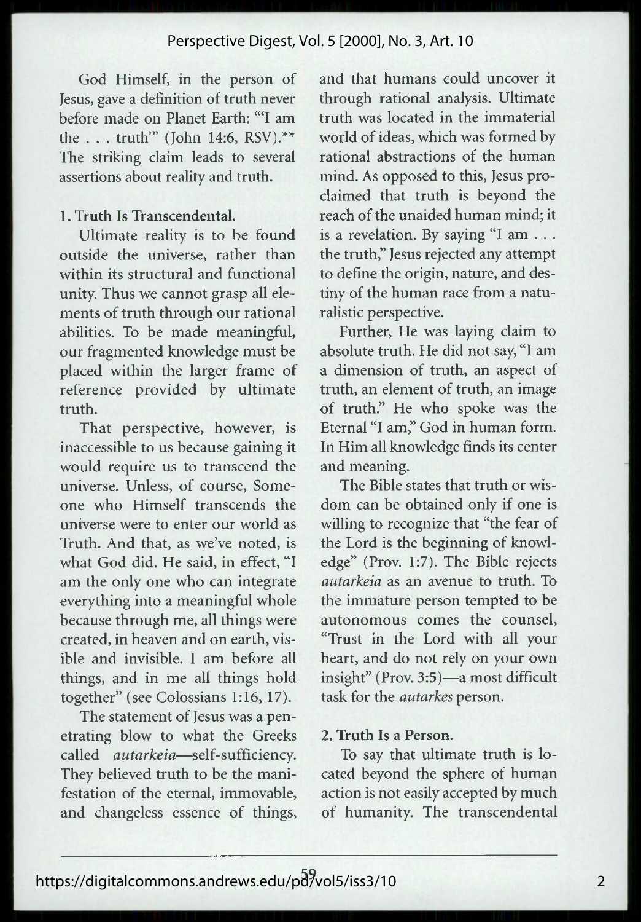God Himself, in the person of Jesus, gave a definition of truth never before made on Planet Earth: "'I am the . . . truth'" (John 14:6, RSV).\*\* The striking claim leads to several assertions about reality and truth.

#### 1. Truth Is Transcendental.

Ultimate reality is to be found outside the universe, rather than within its structural and functional unity. Thus we cannot grasp all elements of truth through our rational abilities. To be made meaningful, our fragmented knowledge must be placed within the larger frame of reference provided by ultimate truth.

That perspective, however, is inaccessible to us because gaining it would require us to transcend the universe. Unless, of course, Someone who Himself transcends the universe were to enter our world as Truth. And that, as we've noted, is what God did. He said, in effect, "I am the only one who can integrate everything into a meaningful whole because through me, all things were created, in heaven and on earth, visible and invisible. I am before all things, and in me all things hold together" (see Colossians 1:16, 17).

The statement of Jesus was a penetrating blow to what the Greeks called *autarkeia*—self-sufficiency. They believed truth to be the manifestation of the eternal, immovable, and changeless essence of things,

and that humans could uncover it through rational analysis. Ultimate truth was located in the immaterial world of ideas, which was formed by rational abstractions of the human mind. As opposed to this, Jesus proclaimed that truth is beyond the reach of the unaided human mind; it is a revelation. By saying "I am . . . the truth," Jesus rejected any attempt to define the origin, nature, and destiny of the human race from a naturalistic perspective.

Further, He was laying claim to absolute truth. He did not say, "I am a dimension of truth, an aspect of truth, an element of truth, an image of truth." He who spoke was the Eternal "I am," God in human form. In Him all knowledge finds its center and meaning.

The Bible states that truth or wisdom can be obtained only if one is willing to recognize that "the fear of the Lord is the beginning of knowledge" (Prov. 1:7). The Bible rejects *autarkeia* as an avenue to truth. To the immature person tempted to be autonomous comes the counsel, "Trust in the Lord with all your heart, and do not rely on your own insight" (Prov. 3:5)—a most difficult task for the *autarkes* person.

#### 2. Truth Is a Person.

To say that ultimate truth is located beyond the sphere of human action is not easily accepted by much of humanity. The transcendental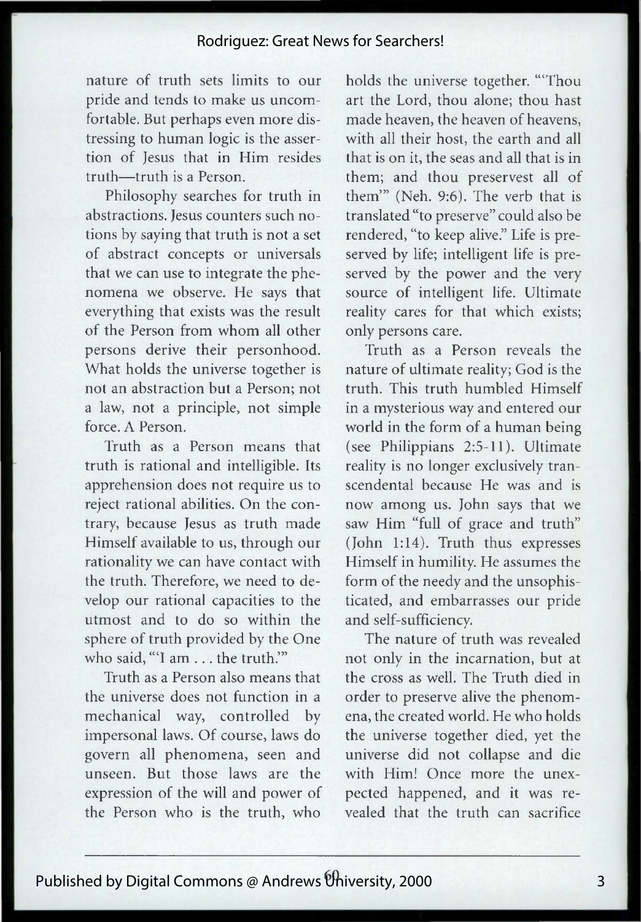#### Rodriguez: Great News for Searchers!

nature of truth sets limits to our pride and tends to make us uncomfortable. But perhaps even more distressing to human logic is the assertion of Jesus that in Him resides truth—truth is a Person.

Philosophy searches for truth in abstractions. Jesus counters such notions by saying that truth is not a set of abstract concepts or universals that we can use to integrate the phenomena we observe. He says that everything that exists was the result of the Person from whom all other persons derive their personhood. What holds the universe together is not an abstraction but a Person; not a law, not a principle, not simple force. A Person.

Truth as a Person means that truth is rational and intelligible. Its apprehension does not require us to reject rational abilities. On the contrary, because Jesus as truth made Himself available to us, through our rationality we can have contact with the truth. Therefore, we need to develop our rational capacities to the utmost and to do so within the sphere of truth provided by the One who said, "I am . . . the truth."

Truth as a Person also means that the universe does not function in a mechanical way, controlled by impersonal laws. Of course, laws do govern all phenomena, seen and unseen. But those laws are the expression of the will and power of the Person who is the truth, who holds the universe together. "'Thou art the Lord, thou alone; thou hast made heaven, the heaven of heavens, with all their host, the earth and all that is on it, the seas and all that is in them; and thou preservest all of them'" (Neh. 9:6). The verb that is translated "to preserve" could also be rendered, "to keep alive." Life is preserved by life; intelligent life is preserved by the power and the very source of intelligent life. Ultimate reality cares for that which exists; only persons care.

Truth as a Person reveals the nature of ultimate reality; God is the truth. This truth humbled Himself in a mysterious way and entered our world in the form of a human being (see Philippians 2:5-11). Ultimate reality is no longer exclusively transcendental because He was and is now among us. John says that we saw Him "full of grace and truth" (John 1:14). Truth thus expresses Himself in humility. He assumes the form of the needy and the unsophisticated, and embarrasses our pride and self-sufficiency.

The nature of truth was revealed not only in the incarnation, but at the cross as well. The Truth died in order to preserve alive the phenomena, the created world. He who holds the universe together died, yet the universe did not collapse and die with Him! Once more the unexpected happened, and it was revealed that the truth can sacrifice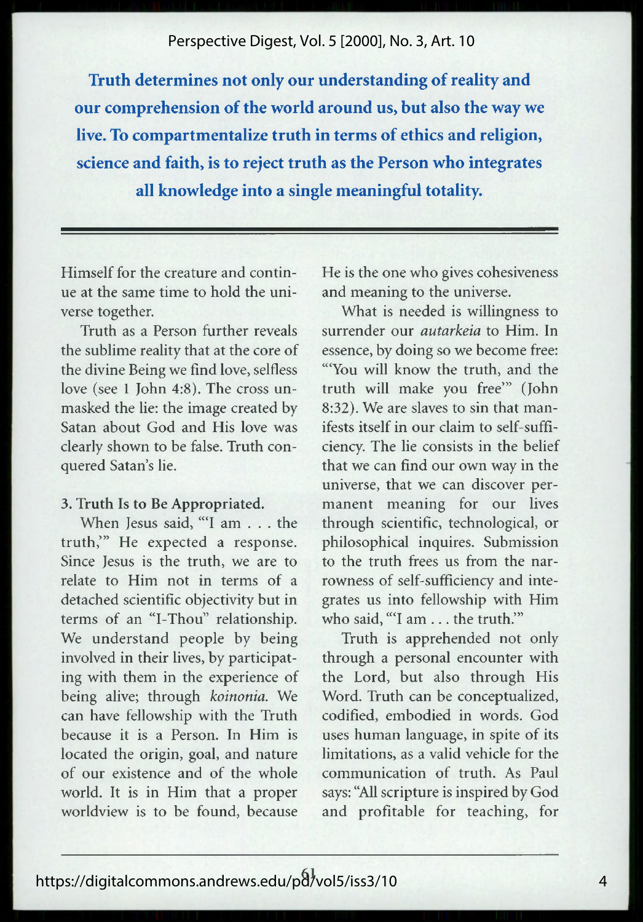#### Perspective Digest, Vol. 5 [2000], No. 3, Art. 10

**Truth determines not only our understanding of reality and our comprehension of the world around us, but also the way we live. To compartmentalize truth in terms of ethics and religion, science and faith, is to reject truth as the Person who integrates all knowledge into a single meaningful totality.**

Himself for the creature and continue at the same time to hold the universe together.

Truth as a Person further reveals the sublime reality that at the core of the divine Being we find love, selfless love (see 1 John 4:8). The cross unmasked the lie: the image created by Satan about God and His love was clearly shown to be false. Truth conquered Satan's lie.

#### 3. Truth Is to Be Appropriated.

When Jesus said, "T am . . . the truth,'" He expected a response. Since Jesus is the truth, we are to relate to Him not in terms of a detached scientific objectivity but in terms of an "I-Thou" relationship. We understand people by being involved in their lives, by participating with them in the experience of being alive; through *koinonia.* We can have fellowship with the Truth because it is a Person. In Him is located the origin, goal, and nature of our existence and of the whole world. It is in Him that a proper worldview is to be found, because

He is the one who gives cohesiveness and meaning to the universe.

What is needed is willingness to surrender our *autarkeia* to Him. In essence, by doing so we become free: '"You will know the truth, and the truth will make you free'" (John 8:32). We are slaves to sin that manifests itself in our claim to self-sufficiency. The lie consists in the belief that we can find our own way in the universe, that we can discover permanent meaning for our lives through scientific, technological, or philosophical inquires. Submission to the truth frees us from the narrowness of self-sufficiency and integrates us into fellowship with Him who said, "T am ... the truth.'"

Truth is apprehended not only through a personal encounter with the Lord, but also through His Word. Truth can be conceptualized, codified, embodied in words. God uses human language, in spite of its limitations, as a valid vehicle for the communication of truth. As Paul says: "All scripture is inspired by God and profitable for teaching, for